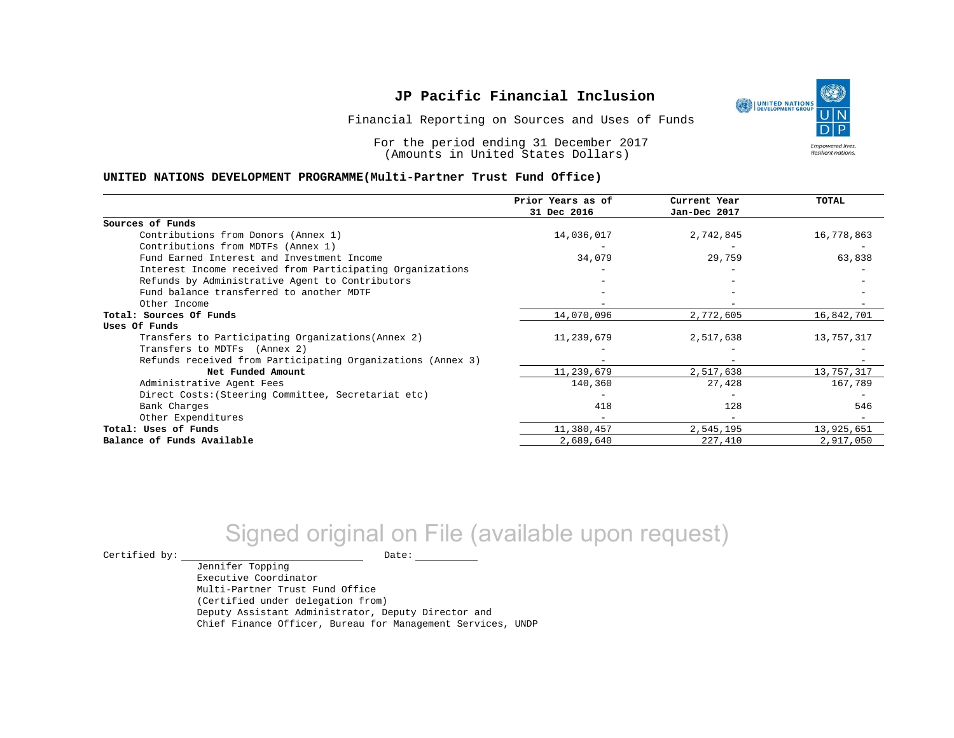Financial Reporting on Sources and Uses of Funds

For the period ending 31 December 2017 (Amounts in United States Dollars)

#### **UNITED NATIONS DEVELOPMENT PROGRAMME(Multi-Partner Trust Fund Office)**

|                                                             | Prior Years as of | Current Year | TOTAL      |
|-------------------------------------------------------------|-------------------|--------------|------------|
|                                                             | 31 Dec 2016       | Jan-Dec 2017 |            |
| Sources of Funds                                            |                   |              |            |
| Contributions from Donors (Annex 1)                         | 14,036,017        | 2,742,845    | 16,778,863 |
| Contributions from MDTFs (Annex 1)                          |                   |              |            |
| Fund Earned Interest and Investment Income                  | 34,079            | 29,759       | 63,838     |
| Interest Income received from Participating Organizations   |                   |              |            |
| Refunds by Administrative Agent to Contributors             |                   |              |            |
| Fund balance transferred to another MDTF                    |                   |              |            |
| Other Income                                                |                   |              |            |
| Total: Sources Of Funds                                     | 14,070,096        | 2,772,605    | 16,842,701 |
| Uses Of Funds                                               |                   |              |            |
| Transfers to Participating Organizations (Annex 2)          | 11,239,679        | 2,517,638    | 13,757,317 |
| Transfers to MDTFs (Annex 2)                                |                   |              |            |
| Refunds received from Participating Organizations (Annex 3) |                   |              |            |
| Net Funded Amount                                           | 11,239,679        | 2,517,638    | 13,757,317 |
| Administrative Agent Fees                                   | 140,360           | 27,428       | 167,789    |
| Direct Costs: (Steering Committee, Secretariat etc)         |                   |              |            |
| Bank Charges                                                | 418               | 128          | 546        |
| Other Expenditures                                          |                   |              |            |
| Total: Uses of Funds                                        | 11,380,457        | 2,545,195    | 13,925,651 |
| Balance of Funds Available                                  | 2,689,640         | 227,410      | 2,917,050  |

# Signed original on File (available upon request)

 $\begin{tabular}{ccccc} \multicolumn{2}{c|}{\textbf{Certified by:}} & \multicolumn{2}{c|}{\textbf{Date:}} \end{tabular}$ 

Jennifer Topping Executive Coordinator Multi-Partner Trust Fund Office (Certified under delegation from) Deputy Assistant Administrator, Deputy Director and Chief Finance Officer, Bureau for Management Services, UNDP

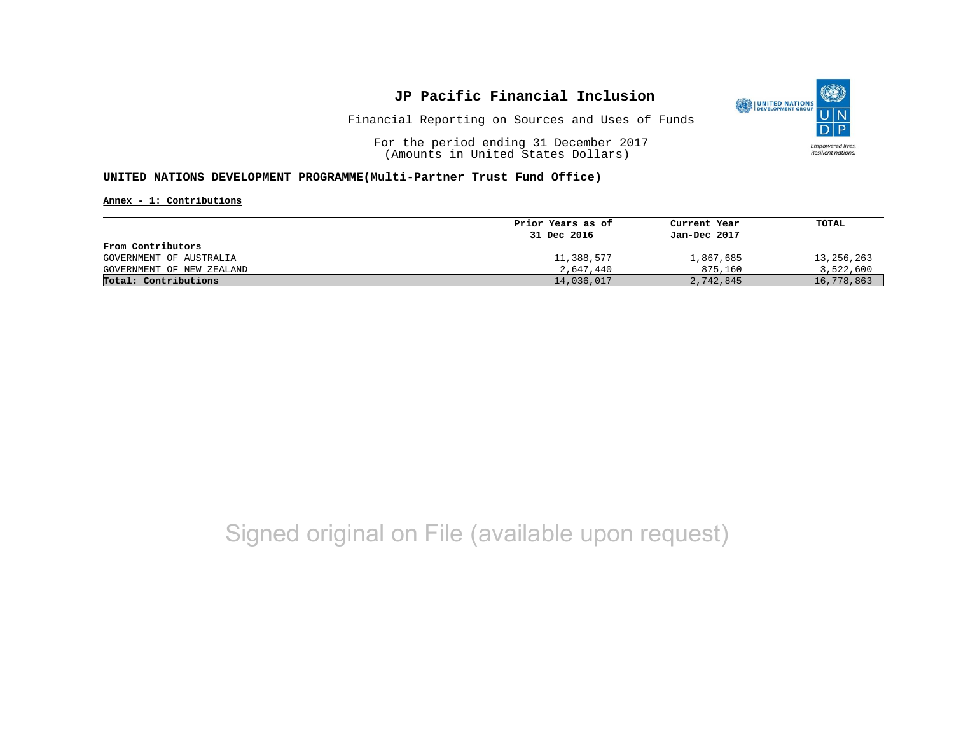

Financial Reporting on Sources and Uses of Funds

For the period ending 31 December 2017 (Amounts in United States Dollars)

#### **UNITED NATIONS DEVELOPMENT PROGRAMME(Multi-Partner Trust Fund Office)**

**Annex - 1: Contributions**

|                           | Prior Years as of<br>31 Dec 2016 | Current Year<br>Jan-Dec 2017 | TOTAL      |
|---------------------------|----------------------------------|------------------------------|------------|
|                           |                                  |                              |            |
| From Contributors         |                                  |                              |            |
| GOVERNMENT OF AUSTRALIA   | 11,388,577                       | 1,867,685                    | 13,256,263 |
| GOVERNMENT OF NEW ZEALAND | 2,647,440                        | 875,160                      | 3,522,600  |
| Total: Contributions      | 14,036,017                       | 2,742,845                    | 16,778,863 |

# Signed original on File (available upon request)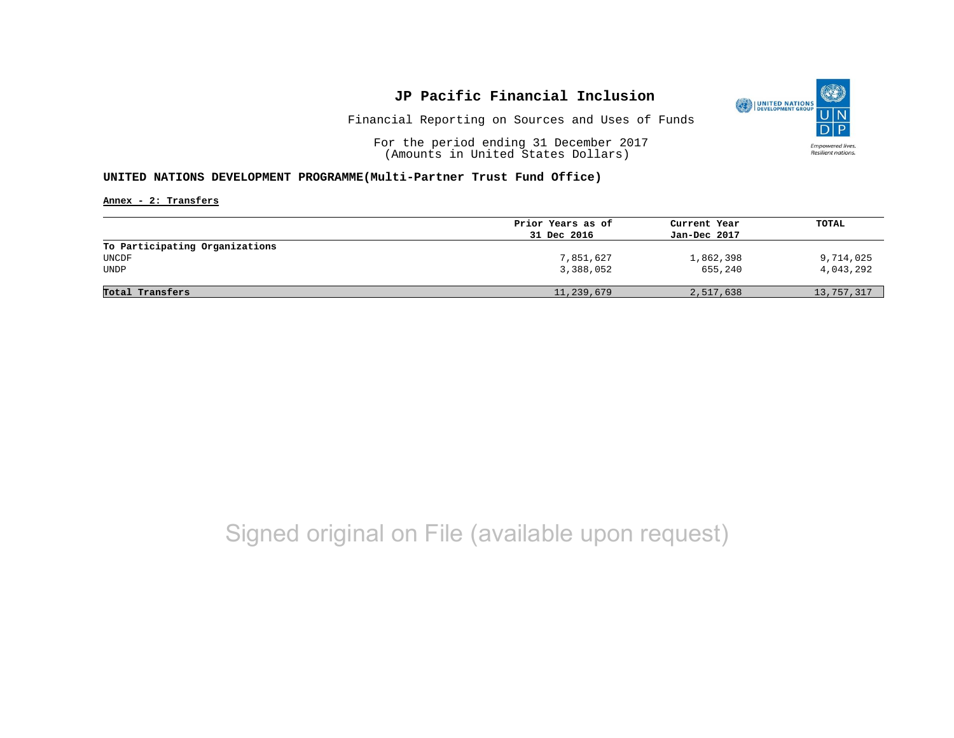

Financial Reporting on Sources and Uses of Funds

For the period ending 31 December 2017 (Amounts in United States Dollars)

#### **UNITED NATIONS DEVELOPMENT PROGRAMME(Multi-Partner Trust Fund Office)**

**Annex - 2: Transfers**

|                                | Prior Years as of | Current Year | TOTAL      |
|--------------------------------|-------------------|--------------|------------|
|                                | 31 Dec 2016       | Jan-Dec 2017 |            |
| To Participating Organizations |                   |              |            |
| UNCDF                          | 7,851,627         | 1,862,398    | 9,714,025  |
| UNDP                           | 3,388,052         | 655,240      | 4,043,292  |
|                                |                   |              |            |
| Total Transfers                | 11,239,679        | 2,517,638    | 13,757,317 |
|                                |                   |              |            |

# Signed original on File (available upon request)